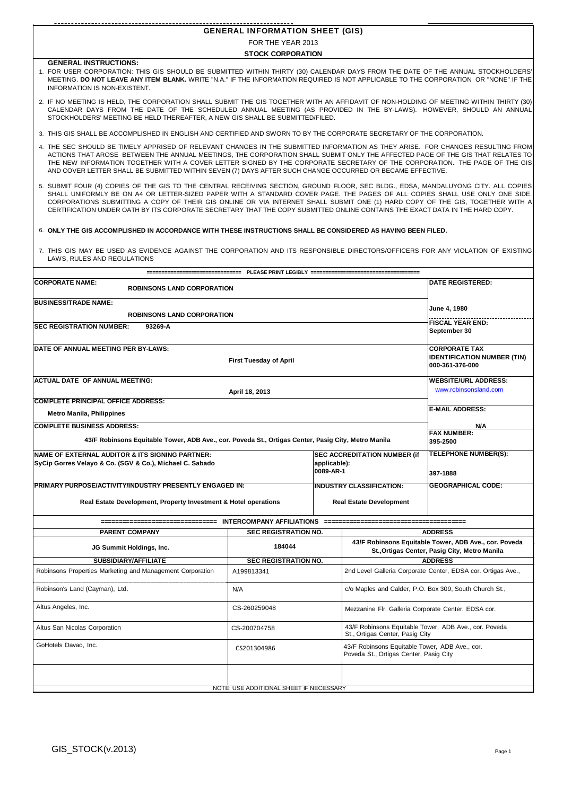| <b>GENERAL INFORMATION SHEET (GIS)</b> |  |
|----------------------------------------|--|

FOR THE YEAR 2013

**STOCK CORPORATION**

**GENERAL INSTRUCTIONS:**

- 1. FOR USER CORPORATION: THIS GIS SHOULD BE SUBMITTED WITHIN THIRTY (30) CALENDAR DAYS FROM THE DATE OF THE ANNUAL STOCKHOLDERS' MEETING. **DO NOT LEAVE ANY ITEM BLANK.** WRITE "N.A." IF THE INFORMATION REQUIRED IS NOT APPLICABLE TO THE CORPORATION OR "NONE" IF THE INFORMATION IS NON-EXISTENT.
- 2. IF NO MEETING IS HELD, THE CORPORATION SHALL SUBMIT THE GIS TOGETHER WITH AN AFFIDAVIT OF NON-HOLDING OF MEETING WITHIN THIRTY (30) CALENDAR DAYS FROM THE DATE OF THE SCHEDULED ANNUAL MEETING (AS PROVIDED IN THE BY-LAWS). HOWEVER, SHOULD AN ANNUAL STOCKHOLDERS' MEETING BE HELD THEREAFTER, A NEW GIS SHALL BE SUBMITTED/FILED.
- 3. THIS GIS SHALL BE ACCOMPLISHED IN ENGLISH AND CERTIFIED AND SWORN TO BY THE CORPORATE SECRETARY OF THE CORPORATION.
- 4. THE SEC SHOULD BE TIMELY APPRISED OF RELEVANT CHANGES IN THE SUBMITTED INFORMATION AS THEY ARISE. FOR CHANGES RESULTING FROM ACTIONS THAT AROSE BETWEEN THE ANNUAL MEETINGS, THE CORPORATION SHALL SUBMIT ONLY THE AFFECTED PAGE OF THE GIS THAT RELATES TO THE NEW INFORMATION TOGETHER WITH A COVER LETTER SIGNED BY THE CORPORATE SECRETARY OF THE CORPORATION. THE PAGE OF THE GIS AND COVER LETTER SHALL BE SUBMITTED WITHIN SEVEN (7) DAYS AFTER SUCH CHANGE OCCURRED OR BECAME EFFECTIVE.
- 5. SUBMIT FOUR (4) COPIES OF THE GIS TO THE CENTRAL RECEIVING SECTION, GROUND FLOOR, SEC BLDG., EDSA, MANDALUYONG CITY. ALL COPIES SHALL UNIFORMLY BE ON A4 OR LETTER-SIZED PAPER WITH A STANDARD COVER PAGE. THE PAGES OF ALL COPIES SHALL USE ONLY ONE SIDE. CORPORATIONS SUBMITTING A COPY OF THEIR GIS ONLINE OR VIA INTERNET SHALL SUBMIT ONE (1) HARD COPY OF THE GIS, TOGETHER WITH A CERTIFICATION UNDER OATH BY ITS CORPORATE SECRETARY THAT THE COPY SUBMITTED ONLINE CONTAINS THE EXACT DATA IN THE HARD COPY.
- 6. **ONLY THE GIS ACCOMPLISHED IN ACCORDANCE WITH THESE INSTRUCTIONS SHALL BE CONSIDERED AS HAVING BEEN FILED.**
- 7. THIS GIS MAY BE USED AS EVIDENCE AGAINST THE CORPORATION AND ITS RESPONSIBLE DIRECTORS/OFFICERS FOR ANY VIOLATION OF EXISTING LAWS, RULES AND REGULATIONS

|                                                                                                     | PLEASE PRINT LEGIBLY ===                              |                           |                                                                                          |                                                                                                        |  |  |
|-----------------------------------------------------------------------------------------------------|-------------------------------------------------------|---------------------------|------------------------------------------------------------------------------------------|--------------------------------------------------------------------------------------------------------|--|--|
| <b>CORPORATE NAME:</b><br><b>ROBINSONS LAND CORPORATION</b>                                         |                                                       |                           |                                                                                          | <b>DATE REGISTERED:</b>                                                                                |  |  |
| <b>BUSINESS/TRADE NAME:</b>                                                                         |                                                       |                           |                                                                                          |                                                                                                        |  |  |
| <b>ROBINSONS LAND CORPORATION</b>                                                                   | June 4, 1980                                          |                           |                                                                                          |                                                                                                        |  |  |
| <b>SEC REGISTRATION NUMBER:</b><br>93269-A                                                          | <b>FISCAL YEAR END:</b>                               |                           |                                                                                          |                                                                                                        |  |  |
|                                                                                                     | September 30                                          |                           |                                                                                          |                                                                                                        |  |  |
| DATE OF ANNUAL MEETING PER BY-LAWS:                                                                 | <b>CORPORATE TAX</b>                                  |                           |                                                                                          |                                                                                                        |  |  |
|                                                                                                     | <b>IDENTIFICATION NUMBER (TIN)</b><br>000-361-376-000 |                           |                                                                                          |                                                                                                        |  |  |
| <b>ACTUAL DATE OF ANNUAL MEETING:</b>                                                               |                                                       |                           |                                                                                          | <b>WEBSITE/URL ADDRESS:</b>                                                                            |  |  |
|                                                                                                     | April 18, 2013                                        |                           |                                                                                          | www.robinsonsland.com                                                                                  |  |  |
| <b>COMPLETE PRINCIPAL OFFICE ADDRESS:</b>                                                           |                                                       |                           |                                                                                          | <b>E-MAIL ADDRESS:</b>                                                                                 |  |  |
| <b>Metro Manila, Philippines</b>                                                                    |                                                       |                           |                                                                                          |                                                                                                        |  |  |
| <b>COMPLETE BUSINESS ADDRESS:</b>                                                                   |                                                       |                           |                                                                                          | N/A<br><b>FAX NUMBER:</b>                                                                              |  |  |
| 43/F Robinsons Equitable Tower, ADB Ave., cor. Poveda St., Ortigas Center, Pasig City, Metro Manila |                                                       |                           |                                                                                          | 395-2500                                                                                               |  |  |
| <b>NAME OF EXTERNAL AUDITOR &amp; ITS SIGNING PARTNER:</b>                                          | <b>TELEPHONE NUMBER(S):</b>                           |                           |                                                                                          |                                                                                                        |  |  |
| SyCip Gorres Velayo & Co. (SGV & Co.), Michael C. Sabado                                            |                                                       | applicable):<br>0089-AR-1 |                                                                                          | 397-1888                                                                                               |  |  |
| PRIMARY PURPOSE/ACTIVITY/INDUSTRY PRESENTLY ENGAGED IN:                                             |                                                       |                           | <b>INDUSTRY CLASSIFICATION:</b>                                                          | <b>GEOGRAPHICAL CODE:</b>                                                                              |  |  |
| Real Estate Development, Property Investment & Hotel operations                                     |                                                       |                           | <b>Real Estate Development</b>                                                           |                                                                                                        |  |  |
|                                                                                                     |                                                       |                           |                                                                                          |                                                                                                        |  |  |
| <b>PARENT COMPANY</b>                                                                               | <b>SEC REGISTRATION NO.</b>                           |                           |                                                                                          | <b>ADDRESS</b>                                                                                         |  |  |
| JG Summit Holdings, Inc.                                                                            | 184044                                                |                           |                                                                                          | 43/F Robinsons Equitable Tower, ADB Ave., cor. Poveda<br>St., Ortigas Center, Pasig City, Metro Manila |  |  |
| <b>SUBSIDIARY/AFFILIATE</b>                                                                         | <b>SEC REGISTRATION NO.</b>                           |                           |                                                                                          | <b>ADDRESS</b>                                                                                         |  |  |
| Robinsons Properties Marketing and Management Corporation                                           | A199813341                                            |                           |                                                                                          | 2nd Level Galleria Corporate Center, EDSA cor. Ortigas Ave.,                                           |  |  |
| Robinson's Land (Cayman), Ltd.                                                                      | N/A                                                   |                           |                                                                                          | c/o Maples and Calder, P.O. Box 309, South Church St.,                                                 |  |  |
| Altus Angeles, Inc.                                                                                 | CS-260259048                                          |                           | Mezzanine Flr. Galleria Corporate Center, EDSA cor.                                      |                                                                                                        |  |  |
| Altus San Nicolas Corporation                                                                       | CS-200704758                                          |                           |                                                                                          | 43/F Robinsons Equitable Tower, ADB Ave., cor. Poveda<br>St., Ortigas Center, Pasig City               |  |  |
| GoHotels Davao, Inc.<br>CS201304986                                                                 |                                                       |                           | 43/F Robinsons Equitable Tower, ADB Ave., cor.<br>Poveda St., Ortigas Center, Pasig City |                                                                                                        |  |  |
|                                                                                                     | NOTE: USE ADDITIONAL SHEET IF NECESSARY               |                           |                                                                                          |                                                                                                        |  |  |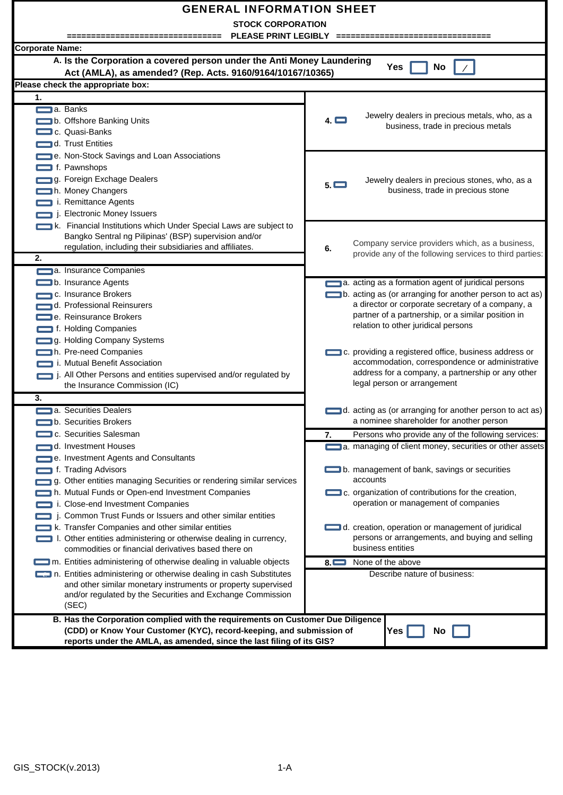| <b>GENERAL INFORMATION SHEET</b><br><b>STOCK CORPORATION</b><br>PLEASE PRINT LEGIBLY ==============                                                                                                                                                                                                                                                                                                                                         |                                                                                                                                                                                                                                                                                                                           |  |  |  |  |  |  |  |  |  |  |
|---------------------------------------------------------------------------------------------------------------------------------------------------------------------------------------------------------------------------------------------------------------------------------------------------------------------------------------------------------------------------------------------------------------------------------------------|---------------------------------------------------------------------------------------------------------------------------------------------------------------------------------------------------------------------------------------------------------------------------------------------------------------------------|--|--|--|--|--|--|--|--|--|--|
| <b>Corporate Name:</b>                                                                                                                                                                                                                                                                                                                                                                                                                      |                                                                                                                                                                                                                                                                                                                           |  |  |  |  |  |  |  |  |  |  |
| A. Is the Corporation a covered person under the Anti Money Laundering<br>Yes<br>No<br>Act (AMLA), as amended? (Rep. Acts. 9160/9164/10167/10365)                                                                                                                                                                                                                                                                                           |                                                                                                                                                                                                                                                                                                                           |  |  |  |  |  |  |  |  |  |  |
| Please check the appropriate box:                                                                                                                                                                                                                                                                                                                                                                                                           |                                                                                                                                                                                                                                                                                                                           |  |  |  |  |  |  |  |  |  |  |
| 1.                                                                                                                                                                                                                                                                                                                                                                                                                                          |                                                                                                                                                                                                                                                                                                                           |  |  |  |  |  |  |  |  |  |  |
| a. Banks<br>b. Offshore Banking Units<br>c. Quasi-Banks<br>d. Trust Entities                                                                                                                                                                                                                                                                                                                                                                | Jewelry dealers in precious metals, who, as a<br>$4. \Box$<br>business, trade in precious metals                                                                                                                                                                                                                          |  |  |  |  |  |  |  |  |  |  |
| e. Non-Stock Savings and Loan Associations<br>f. Pawnshops<br>g. Foreign Exchage Dealers<br>h. Money Changers<br>i. Remittance Agents<br>j. Electronic Money Issuers                                                                                                                                                                                                                                                                        | Jewelry dealers in precious stones, who, as a<br>5.<br>business, trade in precious stone                                                                                                                                                                                                                                  |  |  |  |  |  |  |  |  |  |  |
| k. Financial Institutions which Under Special Laws are subject to<br>Bangko Sentral ng Pilipinas' (BSP) supervision and/or<br>regulation, including their subsidiaries and affiliates.<br>2.                                                                                                                                                                                                                                                | Company service providers which, as a business,<br>6.<br>provide any of the following services to third parties:                                                                                                                                                                                                          |  |  |  |  |  |  |  |  |  |  |
| a. Insurance Companies<br>b. Insurance Agents<br>c. Insurance Brokers<br>d. Professional Reinsurers<br>e. Reinsurance Brokers                                                                                                                                                                                                                                                                                                               | a. acting as a formation agent of juridical persons<br>b. acting as (or arranging for another person to act as)<br>a director or corporate secretary of a company, a<br>partner of a partnership, or a similar position in                                                                                                |  |  |  |  |  |  |  |  |  |  |
| f. Holding Companies<br>g. Holding Company Systems<br>h. Pre-need Companies<br>i. Mutual Benefit Association<br>j. All Other Persons and entities supervised and/or regulated by<br>the Insurance Commission (IC)                                                                                                                                                                                                                           | relation to other juridical persons<br>c. providing a registered office, business address or<br>accommodation, correspondence or administrative<br>address for a company, a partnership or any other<br>legal person or arrangement                                                                                       |  |  |  |  |  |  |  |  |  |  |
| 3.<br>a. Securities Dealers<br>$\blacksquare$ b. Securities Brokers                                                                                                                                                                                                                                                                                                                                                                         | d. acting as (or arranging for another person to act as)<br>a nominee shareholder for another person                                                                                                                                                                                                                      |  |  |  |  |  |  |  |  |  |  |
| c. Securities Salesman                                                                                                                                                                                                                                                                                                                                                                                                                      | Persons who provide any of the following services:<br>7.                                                                                                                                                                                                                                                                  |  |  |  |  |  |  |  |  |  |  |
| d. Investment Houses<br>e. Investment Agents and Consultants<br>f. Trading Advisors<br>g. Other entities managing Securities or rendering similar services<br>h. Mutual Funds or Open-end Investment Companies<br>i. Close-end Investment Companies<br>j. Common Trust Funds or Issuers and other similar entities<br>k. Transfer Companies and other similar entities<br>1. Other entities administering or otherwise dealing in currency, | a. managing of client money, securities or other assets<br>b. management of bank, savings or securities<br>accounts<br>c. organization of contributions for the creation,<br>operation or management of companies<br>d. creation, operation or management of juridical<br>persons or arrangements, and buying and selling |  |  |  |  |  |  |  |  |  |  |
| commodities or financial derivatives based there on                                                                                                                                                                                                                                                                                                                                                                                         | business entities                                                                                                                                                                                                                                                                                                         |  |  |  |  |  |  |  |  |  |  |
| m. Entities administering of otherwise dealing in valuable objects                                                                                                                                                                                                                                                                                                                                                                          | None of the above<br>$8\Box$                                                                                                                                                                                                                                                                                              |  |  |  |  |  |  |  |  |  |  |
| n. Entities administering or otherwise dealing in cash Substitutes<br>and other similar monetary instruments or property supervised<br>and/or regulated by the Securities and Exchange Commission<br>(SEC)                                                                                                                                                                                                                                  | Describe nature of business:                                                                                                                                                                                                                                                                                              |  |  |  |  |  |  |  |  |  |  |
| B. Has the Corporation complied with the requirements on Customer Due Diligence<br>(CDD) or Know Your Customer (KYC), record-keeping, and submission of<br>Yes  <br>No<br>reports under the AMLA, as amended, since the last filing of its GIS?                                                                                                                                                                                             |                                                                                                                                                                                                                                                                                                                           |  |  |  |  |  |  |  |  |  |  |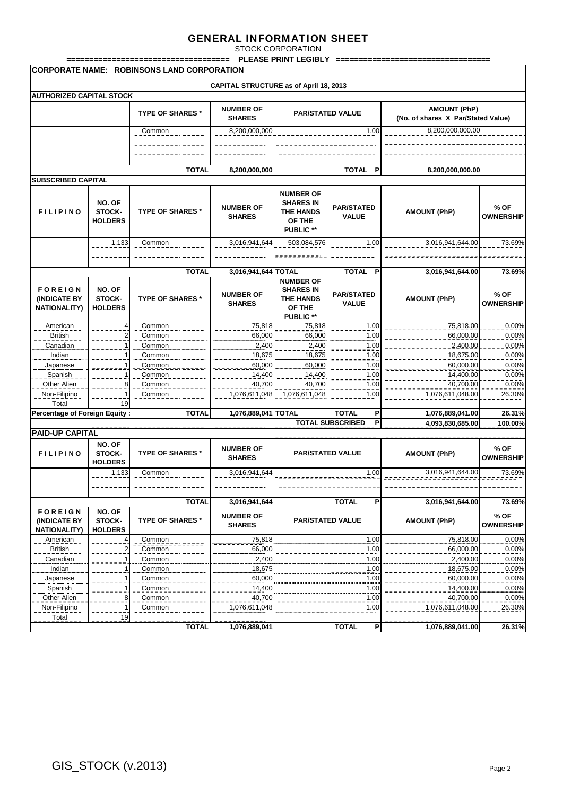STOCK CORPORATION **PLEASE PRINT LEGIBLY =** 

| <b>CORPORATE NAME: ROBINSONS LAND CORPORATION</b>     |                                    |                         |                                               |                                                                                        |                                   |                                 |                          |  |  |  |  |  |
|-------------------------------------------------------|------------------------------------|-------------------------|-----------------------------------------------|----------------------------------------------------------------------------------------|-----------------------------------|---------------------------------|--------------------------|--|--|--|--|--|
|                                                       |                                    |                         | <b>CAPITAL STRUCTURE as of April 18, 2013</b> |                                                                                        |                                   |                                 |                          |  |  |  |  |  |
| <b>AUTHORIZED CAPITAL STOCK</b>                       |                                    |                         |                                               |                                                                                        |                                   |                                 |                          |  |  |  |  |  |
|                                                       |                                    |                         |                                               |                                                                                        |                                   | <b>AMOUNT (PhP)</b>             |                          |  |  |  |  |  |
|                                                       |                                    | <b>TYPE OF SHARES *</b> | <b>NUMBER OF</b><br><b>SHARES</b>             | <b>PAR/STATED VALUE</b><br>(No. of shares X Par/Stated Value)                          |                                   |                                 |                          |  |  |  |  |  |
|                                                       |                                    | Common                  | 8,200,000,000                                 |                                                                                        | 1.00                              | 8,200,000,000.00                |                          |  |  |  |  |  |
|                                                       |                                    |                         |                                               |                                                                                        |                                   |                                 |                          |  |  |  |  |  |
|                                                       |                                    |                         |                                               |                                                                                        |                                   |                                 |                          |  |  |  |  |  |
|                                                       |                                    | <b>TOTAL</b>            | 8,200,000,000                                 |                                                                                        | <b>TOTAL</b><br>P                 | 8,200,000,000.00                |                          |  |  |  |  |  |
| <b>SUBSCRIBED CAPITAL</b>                             |                                    |                         |                                               |                                                                                        |                                   |                                 |                          |  |  |  |  |  |
| <b>FILIPINO</b>                                       | NO. OF<br>STOCK-<br><b>HOLDERS</b> | <b>TYPE OF SHARES *</b> | <b>NUMBER OF</b><br><b>SHARES</b>             | <b>NUMBER OF</b><br><b>SHARES IN</b><br><b>THE HANDS</b><br>OF THE<br><b>PUBLIC **</b> | <b>PAR/STATED</b><br><b>VALUE</b> | <b>AMOUNT (PhP)</b>             | % OF<br><b>OWNERSHIP</b> |  |  |  |  |  |
|                                                       | 1,133                              | Common                  | 3,016,941,644                                 | 503,084,576                                                                            | 1.00                              | 3,016,941,644.00                | 73.69%                   |  |  |  |  |  |
|                                                       |                                    |                         |                                               |                                                                                        |                                   |                                 |                          |  |  |  |  |  |
|                                                       |                                    |                         |                                               |                                                                                        |                                   |                                 |                          |  |  |  |  |  |
|                                                       |                                    | <b>TOTAL</b>            | 3,016,941,644 TOTAL                           |                                                                                        | TOTAL P                           | 3,016,941,644.00                | 73.69%                   |  |  |  |  |  |
| <b>FOREIGN</b><br>(INDICATE BY<br><b>NATIONALITY)</b> | NO. OF<br>STOCK-<br><b>HOLDERS</b> | <b>TYPE OF SHARES *</b> | <b>NUMBER OF</b><br><b>SHARES</b>             | <b>NUMBER OF</b><br><b>SHARES IN</b><br><b>THE HANDS</b><br>OF THE<br><b>PUBLIC **</b> | <b>PAR/STATED</b><br><b>VALUE</b> | <b>AMOUNT (PhP)</b>             | % OF<br><b>OWNERSHIP</b> |  |  |  |  |  |
| American                                              | 4                                  | Common                  | 75,818                                        | 75,818                                                                                 | 1.00                              | 75,818.00                       | 0.00%                    |  |  |  |  |  |
| <b>British</b>                                        | 2                                  | Common                  | 66,000                                        | 66,000                                                                                 | 1.00                              | 66,000.00                       | 0.00%                    |  |  |  |  |  |
| Canadian                                              |                                    | Common                  | 2,400                                         | 2,400                                                                                  | 1.00                              | 2,400.00                        | 0.00%                    |  |  |  |  |  |
| Indian                                                |                                    | Common                  | 18,675                                        | 18,675                                                                                 | 1.00                              | 18,675.00                       | 0.00%                    |  |  |  |  |  |
| Japanese                                              |                                    | Common                  | 60,000                                        | 60,000                                                                                 | 1.00                              | 60,000.00                       | 0.00%                    |  |  |  |  |  |
| Spanish                                               |                                    | Common                  | 14,400                                        | 14,400                                                                                 | 1.00                              | 14,400.00                       | $0.00\%$                 |  |  |  |  |  |
| Other Alien                                           | 8                                  | Common                  | 40,700                                        | 40,700                                                                                 | 1.00                              | 40,700.00                       | 0.00%                    |  |  |  |  |  |
| Non-Filipino                                          |                                    | Common                  | 1,076,611,048                                 | 1,076,611,048                                                                          | 1.00                              | 1,076,611,048.00                | 26.30%                   |  |  |  |  |  |
| Total                                                 | 19                                 |                         |                                               |                                                                                        |                                   |                                 |                          |  |  |  |  |  |
| Percentage of Foreign Equity:                         |                                    | <b>TOTAL</b>            | 1,076,889,041 TOTAL                           |                                                                                        | <b>TOTAL</b><br>P                 | 1,076,889,041.00                | 26.31%                   |  |  |  |  |  |
| <b>PAID-UP CAPITAL</b>                                |                                    |                         |                                               |                                                                                        | P<br><b>TOTAL SUBSCRIBED</b>      | 4,093,830,685.00                | 100.00%                  |  |  |  |  |  |
|                                                       |                                    |                         |                                               |                                                                                        |                                   |                                 |                          |  |  |  |  |  |
| <b>FILIPINO</b>                                       | NO. OF<br>STOCK-<br><b>HOLDERS</b> | <b>TYPE OF SHARES *</b> | <b>NUMBER OF</b><br><b>SHARES</b>             | <b>PAR/STATED VALUE</b>                                                                |                                   | <b>AMOUNT (PhP)</b>             | % OF<br><b>OWNERSHIP</b> |  |  |  |  |  |
|                                                       | 1,133                              | Common                  | 3,016,941,644                                 |                                                                                        | 1.00                              | 3,016,941,644.00<br>sististista | $73.69\%$                |  |  |  |  |  |
|                                                       |                                    |                         |                                               |                                                                                        |                                   |                                 |                          |  |  |  |  |  |
|                                                       |                                    | <b>TOTAL</b>            | 3,016,941,644                                 |                                                                                        | <b>TOTAL</b><br>P                 | 3,016,941,644.00                | 73.69%                   |  |  |  |  |  |
| <b>FOREIGN</b>                                        | NO. OF                             |                         | <b>NUMBER OF</b>                              |                                                                                        |                                   |                                 | % OF                     |  |  |  |  |  |
| <b>(INDICATE BY</b><br><b>NATIONALITY)</b>            | STOCK-<br><b>HOLDERS</b>           | <b>TYPE OF SHARES *</b> | <b>SHARES</b>                                 | <b>PAR/STATED VALUE</b>                                                                |                                   | <b>AMOUNT (PhP)</b>             | <b>OWNERSHIP</b>         |  |  |  |  |  |
| American                                              | 4                                  | Common                  | 75,818                                        |                                                                                        | 1.00                              | 75,818.00                       | 0.00%                    |  |  |  |  |  |
| <b>British</b>                                        |                                    | Common                  | 66,000                                        |                                                                                        | 1.00                              | 66,000.00                       | $0.00\%$                 |  |  |  |  |  |
| Canadian                                              |                                    | Common                  | 2,400                                         |                                                                                        | 1.00                              | 2,400.00                        | 0.00%                    |  |  |  |  |  |
| Indian                                                |                                    | Common                  | 18,675                                        |                                                                                        | 1.00                              | 18,675.00                       | 0.00%                    |  |  |  |  |  |
| Japanese                                              |                                    | Common                  | 60,000                                        |                                                                                        | 1.00                              | 60,000.00                       | 0.00%                    |  |  |  |  |  |
| Spanish                                               |                                    | Common                  | 14,400                                        |                                                                                        | 1.00<br>.                         | 14,400.00                       | 0.00%                    |  |  |  |  |  |
| Other Alien                                           | 8                                  | Common                  | 40,700                                        |                                                                                        | 1.00                              | 40,700.00                       | 0.00%                    |  |  |  |  |  |
| Non-Filipino<br>Total                                 | 1<br>19                            | Common                  | 1,076,611,048                                 |                                                                                        | 1.00                              | 1,076,611,048.00                | 26.30%                   |  |  |  |  |  |
|                                                       |                                    | <b>TOTAL</b>            | 1,076,889,041                                 |                                                                                        | <b>TOTAL</b><br>P                 | 1,076,889,041.00                | 26.31%                   |  |  |  |  |  |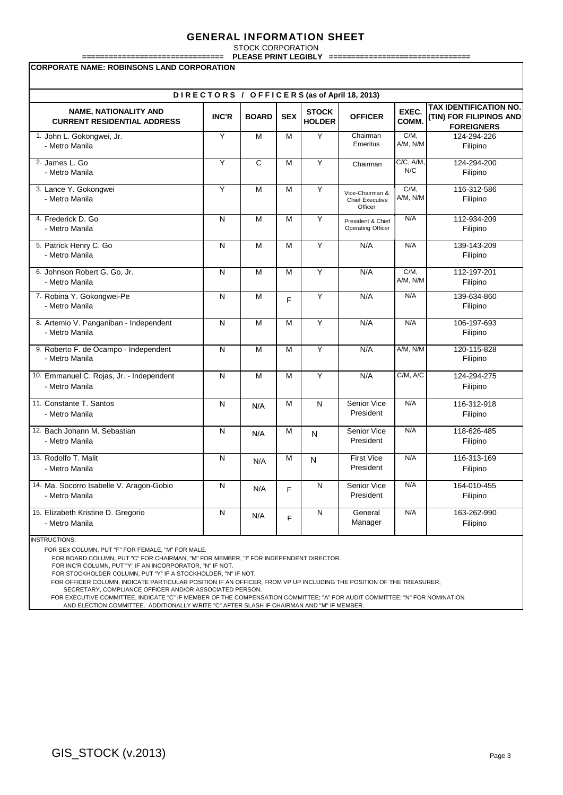STOCK CORPORATION **PLEASE PRINT LEGIBLY** 

| FLEAJE FRINT LEUIDL I<br><b>CORPORATE NAME: ROBINSONS LAND CORPORATION</b> |              |              |            |                               |                                                      |                      |                                                                               |  |  |  |  |
|----------------------------------------------------------------------------|--------------|--------------|------------|-------------------------------|------------------------------------------------------|----------------------|-------------------------------------------------------------------------------|--|--|--|--|
| DIRECTORS / OFFICERS (as of April 18, 2013)                                |              |              |            |                               |                                                      |                      |                                                                               |  |  |  |  |
| <b>NAME, NATIONALITY AND</b><br><b>CURRENT RESIDENTIAL ADDRESS</b>         | <b>INC'R</b> | <b>BOARD</b> | <b>SEX</b> | <b>STOCK</b><br><b>HOLDER</b> | <b>OFFICER</b>                                       | EXEC.<br><b>COMM</b> | <b>TAX IDENTIFICATION NO.</b><br>(TIN) FOR FILIPINOS AND<br><b>FOREIGNERS</b> |  |  |  |  |
| 1. John L. Gokongwei, Jr.<br>- Metro Manila                                | Y            | M            | M          | Ÿ                             | Chairman<br>Emeritus                                 | $C/M$ ,<br>A/M, N/M  | 124-294-226<br>Filipino                                                       |  |  |  |  |
| 2. James L. Go<br>- Metro Manila                                           | Y            | C            | M          | Υ                             | Chairman                                             | C/C, A/M,<br>N/C     | 124-294-200<br>Filipino                                                       |  |  |  |  |
| 3. Lance Y. Gokongwei<br>- Metro Manila                                    | Y            | M            | M          | Y                             | Vice-Chairman &<br><b>Chief Executive</b><br>Officer | C/M.<br>A/M, N/M     | 116-312-586<br>Filipino                                                       |  |  |  |  |
| 4. Frederick D. Go<br>- Metro Manila                                       | N            | M            | M          | Ÿ                             | President & Chief<br>Operating Officer               | N/A                  | 112-934-209<br>Filipino                                                       |  |  |  |  |
| 5. Patrick Henry C. Go<br>- Metro Manila                                   | N            | M            | M          | Y                             | N/A                                                  | N/A                  | 139-143-209<br>Filipino                                                       |  |  |  |  |
| 6. Johnson Robert G. Go, Jr.<br>- Metro Manila                             | N            | M            | M          | Y                             | N/A                                                  | $C/M$ .<br>A/M, N/M  | 112-197-201<br>Filipino                                                       |  |  |  |  |
| 7. Robina Y. Gokongwei-Pe<br>- Metro Manila                                | N            | M            | F          | Y                             | N/A                                                  | N/A                  | 139-634-860<br>Filipino                                                       |  |  |  |  |
| 8. Artemio V. Panganiban - Independent<br>- Metro Manila                   | N            | M            | M          | Y                             | N/A                                                  | N/A                  | 106-197-693<br>Filipino                                                       |  |  |  |  |
| 9. Roberto F. de Ocampo - Independent<br>- Metro Manila                    | N            | M            | M          | Υ                             | N/A                                                  | A/M, N/M             | 120-115-828<br>Filipino                                                       |  |  |  |  |
| 10. Emmanuel C. Rojas, Jr. - Independent<br>- Metro Manila                 | N            | M            | M          | Y                             | N/A                                                  | C/M, A/C             | 124-294-275<br>Filipino                                                       |  |  |  |  |
| 11. Constante T. Santos<br>- Metro Manila                                  | N            | N/A          | М          | N                             | Senior Vice<br>President                             | N/A                  | 116-312-918<br>Filipino                                                       |  |  |  |  |
| 12. Bach Johann M. Sebastian<br>- Metro Manila                             | N            | N/A          | М          | N                             | Senior Vice<br>President                             | N/A                  | 118-626-485<br>Filipino                                                       |  |  |  |  |
| 13. Rodolfo T. Malit<br>- Metro Manila                                     | N            | N/A          | M          | N                             | <b>First Vice</b><br>President                       | N/A                  | 116-313-169<br>Filipino                                                       |  |  |  |  |
| 14. Ma. Socorro Isabelle V. Aragon-Gobio<br>- Metro Manila                 | N            | N/A          | F          | N                             | <b>Senior Vice</b><br>President                      | N/A                  | 164-010-455<br>Filipino                                                       |  |  |  |  |
| 15. Elizabeth Kristine D. Gregorio<br>- Metro Manila                       | N            | N/A          | F          | N                             | General<br>Manager                                   | N/A                  | 163-262-990<br>Filipino                                                       |  |  |  |  |

INSTRUCTIONS:

FOR SEX COLUMN, PUT "F" FOR FEMALE, "M" FOR MALE.

FOR BOARD COLUMN, PUT "C" FOR CHAIRMAN, "M" FOR MEMBER, "I" FOR INDEPENDENT DIRECTOR.

FOR INC'R COLUMN, PUT "Y" IF AN INCORPORATOR, "N" IF NOT.

FOR STOCKHOLDER COLUMN, PUT "Y" IF A STOCKHOLDER, "N" IF NOT.

FOR OFFICER COLUMN, INDICATE PARTICULAR POSITION IF AN OFFICER, FROM VP UP INCLUDING THE POSITION OF THE TREASURER,

SECRETARY, COMPLIANCE OFFICER AND/OR ASSOCIATED PERSON.

 FOR EXECUTIVE COMMITTEE, INDICATE "C" IF MEMBER OF THE COMPENSATION COMMITTEE; "A" FOR AUDIT COMMITTEE; "N" FOR NOMINATION AND ELECTION COMMITTEE. ADDITIONALLY WRITE "C" AFTER SLASH IF CHAIRMAN AND "M" IF MEMBER.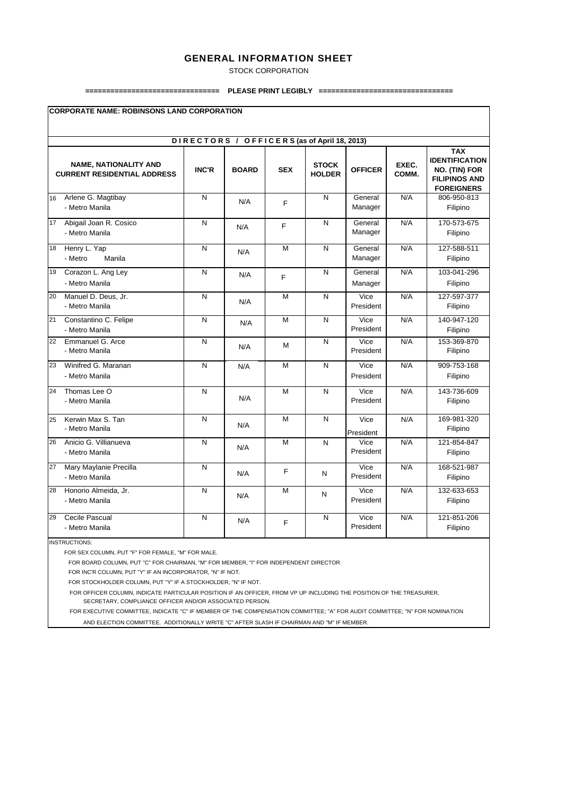STOCK CORPORATION

#### **================================ PLEASE PRINT LEGIBLY ================================**

|    | <b>CORPORATE NAME: ROBINSONS LAND CORPORATION</b>                  |                |              |            |                               |                    |                |                                                                                                   |  |  |  |  |  |  |
|----|--------------------------------------------------------------------|----------------|--------------|------------|-------------------------------|--------------------|----------------|---------------------------------------------------------------------------------------------------|--|--|--|--|--|--|
|    | DIRECTORS / OFFICERS (as of April 18, 2013)                        |                |              |            |                               |                    |                |                                                                                                   |  |  |  |  |  |  |
|    | <b>NAME, NATIONALITY AND</b><br><b>CURRENT RESIDENTIAL ADDRESS</b> | <b>INC'R</b>   | <b>BOARD</b> | <b>SEX</b> | <b>STOCK</b><br><b>HOLDER</b> | <b>OFFICER</b>     | EXEC.<br>COMM. | <b>TAX</b><br><b>IDENTIFICATION</b><br>NO. (TIN) FOR<br><b>FILIPINOS AND</b><br><b>FOREIGNERS</b> |  |  |  |  |  |  |
| 16 | Arlene G. Magtibay<br>- Metro Manila                               | N              | N/A          | E          | N                             | General<br>Manager | N/A            | 806-950-813<br>Filipino                                                                           |  |  |  |  |  |  |
| 17 | Abigail Joan R. Cosico<br>- Metro Manila                           | N              | N/A          | F          | N                             | General<br>Manager | N/A            | 170-573-675<br>Filipino                                                                           |  |  |  |  |  |  |
| 18 | Henry L. Yap<br>- Metro<br>Manila                                  | $\overline{N}$ | N/A          | M          | N                             | General<br>Manager | N/A            | 127-588-511<br>Filipino                                                                           |  |  |  |  |  |  |
| 19 | Corazon L. Ang Ley<br>- Metro Manila                               | N              | N/A          | F          | N                             | General<br>Manager | N/A            | 103-041-296<br>Filipino                                                                           |  |  |  |  |  |  |
| 20 | Manuel D. Deus, Jr.<br>- Metro Manila                              | N              | N/A          | M          | N                             | Vice<br>President  | N/A            | 127-597-377<br>Filipino                                                                           |  |  |  |  |  |  |
| 21 | Constantino C. Felipe<br>- Metro Manila                            | N              | N/A          | M          | N                             | Vice<br>President  | N/A            | 140-947-120<br>Filipino                                                                           |  |  |  |  |  |  |
| 22 | Emmanuel G. Arce<br>- Metro Manila                                 | N              | N/A          | M          | N                             | Vice<br>President  | N/A            | 153-369-870<br>Filipino                                                                           |  |  |  |  |  |  |
| 23 | Winifred G. Maranan<br>- Metro Manila                              | N              | N/A          | M          | N                             | Vice<br>President  | N/A            | 909-753-168<br>Filipino                                                                           |  |  |  |  |  |  |
| 24 | Thomas Lee O<br>- Metro Manila                                     | N              | N/A          | M          | N                             | Vice<br>President  | N/A            | 143-736-609<br>Filipino                                                                           |  |  |  |  |  |  |
| 25 | Kerwin Max S. Tan<br>- Metro Manila                                | N              | N/A          | M          | N                             | Vice<br>President  | N/A            | 169-981-320<br>Filipino                                                                           |  |  |  |  |  |  |
| 26 | Anicio G. Villianueva<br>- Metro Manila                            | N              | N/A          | M          | N                             | Vice<br>President  | N/A            | 121-854-847<br>Filipino                                                                           |  |  |  |  |  |  |
| 27 | Mary Maylanie Precilla<br>- Metro Manila                           | N              | N/A          | F          | N                             | Vice<br>President  | N/A            | 168-521-987<br>Filipino                                                                           |  |  |  |  |  |  |
| 28 | Honorio Almeida, Jr.<br>- Metro Manila                             | N              | N/A          | M          | N                             | Vice<br>President  | N/A            | 132-633-653<br>Filipino                                                                           |  |  |  |  |  |  |
| 29 | Cecile Pascual<br>- Metro Manila                                   | N              | N/A          | F          | Ν                             | Vice<br>President  | N/A            | 121-851-206<br>Filipino                                                                           |  |  |  |  |  |  |

INSTRUCTIONS:

FOR SEX COLUMN, PUT "F" FOR FEMALE, "M" FOR MALE.

FOR BOARD COLUMN, PUT "C" FOR CHAIRMAN, "M" FOR MEMBER, "I" FOR INDEPENDENT DIRECTOR.

FOR INC'R COLUMN, PUT "Y" IF AN INCORPORATOR, "N" IF NOT.

FOR STOCKHOLDER COLUMN, PUT "Y" IF A STOCKHOLDER, "N" IF NOT.

FOR OFFICER COLUMN, INDICATE PARTICULAR POSITION IF AN OFFICER, FROM VP UP INCLUDING THE POSITION OF THE TREASURER,

SECRETARY, COMPLIANCE OFFICER AND/OR ASSOCIATED PERSON.

 FOR EXECUTIVE COMMITTEE, INDICATE "C" IF MEMBER OF THE COMPENSATION COMMITTEE; "A" FOR AUDIT COMMITTEE; "N" FOR NOMINATION AND ELECTION COMMITTEE. ADDITIONALLY WRITE "C" AFTER SLASH IF CHAIRMAN AND "M" IF MEMBER.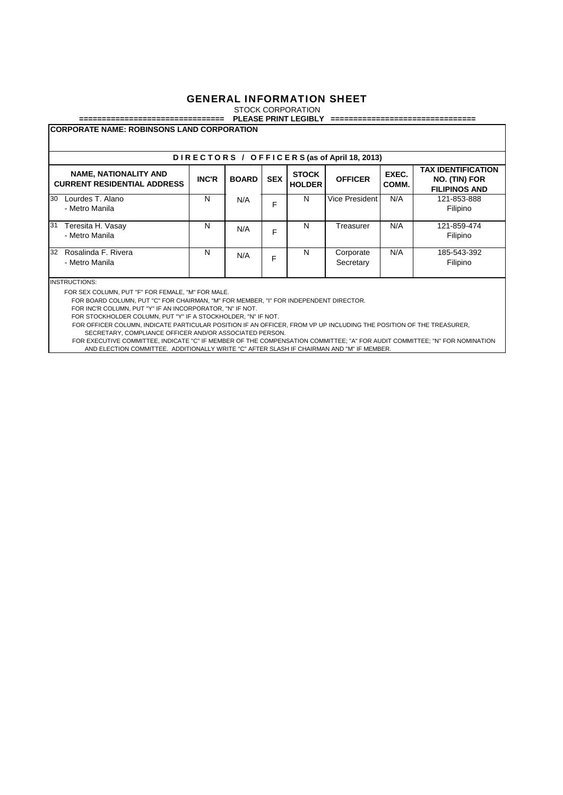STOCK CORPORATION

#### **================================ PLEASE PRINT LEGIBLY ================================**

| DIRECTORS / OFFICERS (as of April 18, 2013)                        |              |              |            |                               |                        |                |                                                                    |  |  |  |  |
|--------------------------------------------------------------------|--------------|--------------|------------|-------------------------------|------------------------|----------------|--------------------------------------------------------------------|--|--|--|--|
| <b>NAME, NATIONALITY AND</b><br><b>CURRENT RESIDENTIAL ADDRESS</b> | <b>INC'R</b> | <b>BOARD</b> | <b>SEX</b> | <b>STOCK</b><br><b>HOLDER</b> | <b>OFFICER</b>         | EXEC.<br>COMM. | <b>TAX IDENTIFICATION</b><br>NO. (TIN) FOR<br><b>FILIPINOS AND</b> |  |  |  |  |
| 30<br>Lourdes T. Alano<br>- Metro Manila                           | N            | N/A          | F          | N                             | Vice President         | N/A            | 121-853-888<br>Filipino                                            |  |  |  |  |
| 31<br>Teresita H. Vasay<br>- Metro Manila                          | N            | N/A          | F          | N                             | Treasurer              | N/A            | 121-859-474<br>Filipino                                            |  |  |  |  |
| Rosalinda F. Rivera<br>32<br>- Metro Manila                        | N            | N/A          | F          | N                             | Corporate<br>Secretary | N/A            | 185-543-392<br>Filipino                                            |  |  |  |  |

INSTRUCTIONS:

FOR SEX COLUMN, PUT "F" FOR FEMALE, "M" FOR MALE.

FOR BOARD COLUMN, PUT "C" FOR CHAIRMAN, "M" FOR MEMBER, "I" FOR INDEPENDENT DIRECTOR.

FOR INC'R COLUMN, PUT "Y" IF AN INCORPORATOR, "N" IF NOT.

FOR STOCKHOLDER COLUMN, PUT "Y" IF A STOCKHOLDER, "N" IF NOT.

FOR OFFICER COLUMN, INDICATE PARTICULAR POSITION IF AN OFFICER, FROM VP UP INCLUDING THE POSITION OF THE TREASURER, SECRETARY, COMPLIANCE OFFICER AND/OR ASSOCIATED PERSON.

 FOR EXECUTIVE COMMITTEE, INDICATE "C" IF MEMBER OF THE COMPENSATION COMMITTEE; "A" FOR AUDIT COMMITTEE; "N" FOR NOMINATION AND ELECTION COMMITTEE. ADDITIONALLY WRITE "C" AFTER SLASH IF CHAIRMAN AND "M" IF MEMBER.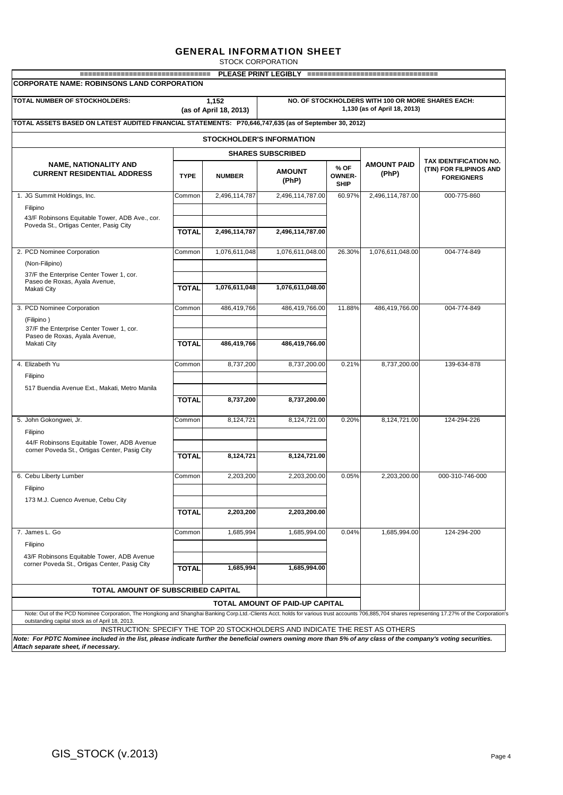STOCK CORPORATION

| =================================<br><b>CORPORATE NAME: ROBINSONS LAND CORPORATION</b>                                                                                                                                                              |              | PLEASE PRINT LEGIBLY             |                                        |                                      | ==================================                                                |                                              |
|-----------------------------------------------------------------------------------------------------------------------------------------------------------------------------------------------------------------------------------------------------|--------------|----------------------------------|----------------------------------------|--------------------------------------|-----------------------------------------------------------------------------------|----------------------------------------------|
| TOTAL NUMBER OF STOCKHOLDERS:                                                                                                                                                                                                                       |              | 1,152<br>(as of April 18, 2013)  |                                        |                                      | NO. OF STOCKHOLDERS WITH 100 OR MORE SHARES EACH:<br>1,130 (as of April 18, 2013) |                                              |
| TOTAL ASSETS BASED ON LATEST AUDITED FINANCIAL STATEMENTS: P70,646,747,635 (as of September 30, 2012)                                                                                                                                               |              |                                  |                                        |                                      |                                                                                   |                                              |
|                                                                                                                                                                                                                                                     |              | <b>STOCKHOLDER'S INFORMATION</b> |                                        |                                      |                                                                                   |                                              |
|                                                                                                                                                                                                                                                     |              |                                  | <b>SHARES SUBSCRIBED</b>               |                                      |                                                                                   |                                              |
| <b>NAME, NATIONALITY AND</b>                                                                                                                                                                                                                        |              |                                  |                                        |                                      | <b>AMOUNT PAID</b>                                                                | TAX IDENTIFICATION NO.                       |
| <b>CURRENT RESIDENTIAL ADDRESS</b>                                                                                                                                                                                                                  | <b>TYPE</b>  | <b>NUMBER</b>                    | <b>AMOUNT</b><br>(PhP)                 | % OF<br><b>OWNER-</b><br><b>SHIP</b> | (PhP)                                                                             | (TIN) FOR FILIPINOS AND<br><b>FOREIGNERS</b> |
| 1. JG Summit Holdings, Inc.                                                                                                                                                                                                                         | Common       | 2,496,114,787                    | 2,496,114,787.00                       | 60.97%                               | 2,496,114,787.00                                                                  | 000-775-860                                  |
| Filipino                                                                                                                                                                                                                                            |              |                                  |                                        |                                      |                                                                                   |                                              |
| 43/F Robinsons Equitable Tower, ADB Ave., cor.<br>Poveda St., Ortigas Center, Pasig City                                                                                                                                                            | <b>TOTAL</b> | 2,496,114,787                    | 2,496,114,787.00                       |                                      |                                                                                   |                                              |
| 2. PCD Nominee Corporation                                                                                                                                                                                                                          | Common       | 1,076,611,048                    | 1,076,611,048.00                       | 26.30%                               | 1,076,611,048.00                                                                  | 004-774-849                                  |
| (Non-Filipino)                                                                                                                                                                                                                                      |              |                                  |                                        |                                      |                                                                                   |                                              |
| 37/F the Enterprise Center Tower 1, cor.                                                                                                                                                                                                            |              |                                  |                                        |                                      |                                                                                   |                                              |
| Paseo de Roxas, Ayala Avenue,<br>Makati City                                                                                                                                                                                                        | <b>TOTAL</b> | 1,076,611,048                    | 1,076,611,048.00                       |                                      |                                                                                   |                                              |
| 3. PCD Nominee Corporation                                                                                                                                                                                                                          | Common       | 486,419,766                      | 486.419.766.00                         | 11.88%                               | 486.419.766.00                                                                    | 004-774-849                                  |
| (Filipino)                                                                                                                                                                                                                                          |              |                                  |                                        |                                      |                                                                                   |                                              |
| 37/F the Enterprise Center Tower 1, cor.<br>Paseo de Roxas, Ayala Avenue,                                                                                                                                                                           |              |                                  |                                        |                                      |                                                                                   |                                              |
| Makati City                                                                                                                                                                                                                                         | <b>TOTAL</b> | 486,419,766                      | 486,419,766.00                         |                                      |                                                                                   |                                              |
| 4. Elizabeth Yu                                                                                                                                                                                                                                     | Common       | 8,737,200                        | 8,737,200.00                           | 0.21%                                | 8,737,200.00                                                                      | 139-634-878                                  |
| Filipino                                                                                                                                                                                                                                            |              |                                  |                                        |                                      |                                                                                   |                                              |
| 517 Buendia Avenue Ext., Makati, Metro Manila                                                                                                                                                                                                       |              |                                  |                                        |                                      |                                                                                   |                                              |
|                                                                                                                                                                                                                                                     | <b>TOTAL</b> | 8,737,200                        | 8,737,200.00                           |                                      |                                                                                   |                                              |
| 5. John Gokongwei, Jr.                                                                                                                                                                                                                              | Common       | 8,124,721                        | 8,124,721.00                           | 0.20%                                | 8,124,721.00                                                                      | 124-294-226                                  |
| Filipino                                                                                                                                                                                                                                            |              |                                  |                                        |                                      |                                                                                   |                                              |
| 44/F Robinsons Equitable Tower, ADB Avenue<br>corner Poveda St., Ortigas Center, Pasig City                                                                                                                                                         |              |                                  |                                        |                                      |                                                                                   |                                              |
|                                                                                                                                                                                                                                                     | <b>TOTAL</b> | 8,124,721                        | 8,124,721.00                           |                                      |                                                                                   |                                              |
| 6. Cebu Liberty Lumber                                                                                                                                                                                                                              | Common       | 2,203,200                        | 2,203,200.00                           | 0.05%                                | 2,203,200.00                                                                      | 000-310-746-000                              |
| Filipino                                                                                                                                                                                                                                            |              |                                  |                                        |                                      |                                                                                   |                                              |
| 173 M.J. Cuenco Avenue, Cebu City                                                                                                                                                                                                                   |              |                                  |                                        |                                      |                                                                                   |                                              |
|                                                                                                                                                                                                                                                     | <b>TOTAL</b> | 2,203,200                        | 2,203,200.00                           |                                      |                                                                                   |                                              |
| 7. James L. Go                                                                                                                                                                                                                                      | Common       | 1,685,994                        | 1,685,994.00                           | 0.04%                                | 1,685,994.00                                                                      | 124-294-200                                  |
| Filipino                                                                                                                                                                                                                                            |              |                                  |                                        |                                      |                                                                                   |                                              |
| 43/F Robinsons Equitable Tower, ADB Avenue<br>corner Poveda St., Ortigas Center, Pasig City                                                                                                                                                         | <b>TOTAL</b> | 1,685,994                        | 1,685,994.00                           |                                      |                                                                                   |                                              |
| <b>TOTAL AMOUNT OF SUBSCRIBED CAPITAL</b>                                                                                                                                                                                                           |              |                                  |                                        |                                      |                                                                                   |                                              |
|                                                                                                                                                                                                                                                     |              |                                  | <b>TOTAL AMOUNT OF PAID-UP CAPITAL</b> |                                      |                                                                                   |                                              |
| Note: Out of the PCD Nominee Corporation, The Hongkong and Shanghai Banking Corp.Ltd.-Clients Acct. holds for various trust accounts 706,885,704 shares representing 17.27% of the Corporation's<br>outstanding capital stock as of April 18, 2013. |              |                                  |                                        |                                      |                                                                                   |                                              |
| INSTRUCTION: SPECIFY THE TOP 20 STOCKHOLDERS AND INDICATE THE REST AS OTHERS                                                                                                                                                                        |              |                                  |                                        |                                      |                                                                                   |                                              |

*Note: For PDTC Nominee included in the list, please indicate further the beneficial owners owning more than 5% of any class of the company's voting securities. Attach separate sheet, if necessary.*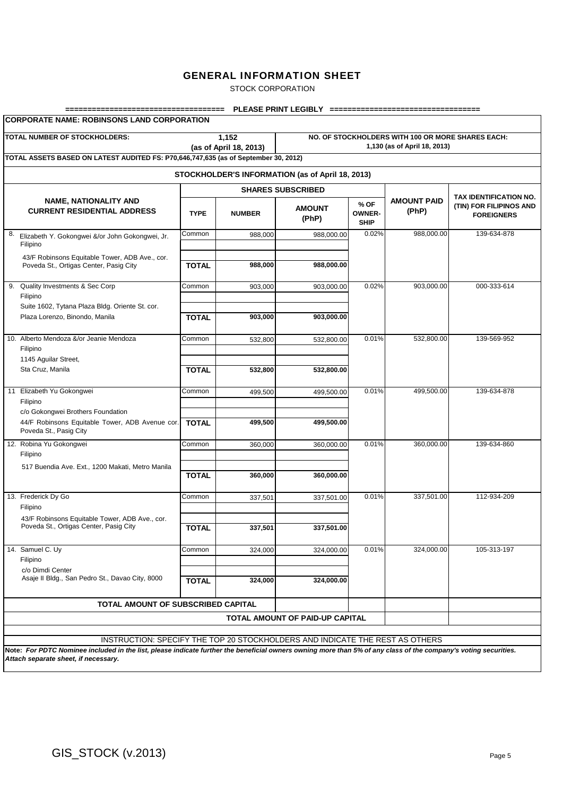STOCK CORPORATION

| TOTAL NUMBER OF STOCKHOLDERS:                                                                                  |              | NO. OF STOCKHOLDERS WITH 100 OR MORE SHARES EACH:<br>1,130 (as of April 18, 2013) |                                                  |                                                                        |            |             |
|----------------------------------------------------------------------------------------------------------------|--------------|-----------------------------------------------------------------------------------|--------------------------------------------------|------------------------------------------------------------------------|------------|-------------|
| TOTAL ASSETS BASED ON LATEST AUDITED FS: P70,646,747,635 (as of September 30, 2012)                            |              |                                                                                   | STOCKHOLDER'S INFORMATION (as of April 18, 2013) |                                                                        |            |             |
|                                                                                                                |              | <b>SHARES SUBSCRIBED</b>                                                          |                                                  |                                                                        |            |             |
| <b>NAME, NATIONALITY AND</b><br><b>CURRENT RESIDENTIAL ADDRESS</b>                                             | <b>TYPE</b>  | <b>NUMBER</b>                                                                     | <b>AMOUNT PAID</b><br>(PhP)                      | TAX IDENTIFICATION NO.<br>(TIN) FOR FILIPINOS AND<br><b>FOREIGNERS</b> |            |             |
| 8.<br>Elizabeth Y. Gokongwei &/or John Gokongwei, Jr.<br>Filipino                                              | Common       | 988,000                                                                           | 988.000.00                                       | <b>SHIP</b><br>0.02%                                                   | 988,000.00 | 139-634-878 |
| 43/F Robinsons Equitable Tower, ADB Ave., cor.<br>Poveda St., Ortigas Center, Pasig City                       | <b>TOTAL</b> | 988,000                                                                           | 988,000.00                                       |                                                                        |            |             |
| Quality Investments & Sec Corp<br>9.<br>Filipino<br>Suite 1602, Tytana Plaza Bldg. Oriente St. cor.            | Common       | 903,000                                                                           | 903,000.00                                       | 0.02%                                                                  | 903,000.00 | 000-333-614 |
| Plaza Lorenzo, Binondo, Manila                                                                                 | <b>TOTAL</b> | 903,000                                                                           | 903,000.00                                       |                                                                        |            |             |
| 10. Alberto Mendoza &/or Jeanie Mendoza<br>Filipino<br>1145 Aguilar Street,                                    | Common       | 532,800                                                                           | 532,800.00                                       | 0.01%                                                                  | 532,800.00 | 139-569-952 |
| Sta Cruz, Manila                                                                                               | <b>TOTAL</b> | 532,800                                                                           | 532.800.00                                       |                                                                        |            |             |
| 11 Elizabeth Yu Gokongwei<br>Filipino                                                                          | Common       | 499,500                                                                           | 499,500.00                                       | 0.01%                                                                  | 499,500.00 | 139-634-878 |
| c/o Gokongwei Brothers Foundation<br>44/F Robinsons Equitable Tower, ADB Avenue cor.<br>Poveda St., Pasig City | <b>TOTAL</b> | 499,500                                                                           | 499,500.00                                       |                                                                        |            |             |
| 12. Robina Yu Gokongwei<br>Filipino                                                                            | Common       | 360,000                                                                           | 360,000.00                                       | 0.01%                                                                  | 360,000.00 | 139-634-860 |
| 517 Buendia Ave. Ext., 1200 Makati, Metro Manila                                                               | <b>TOTAL</b> | 360,000                                                                           | 360,000.00                                       |                                                                        |            |             |
| 13. Frederick Dy Go<br>Filipino                                                                                | Common       | 337,501                                                                           | 337,501.00                                       | 0.01%                                                                  | 337,501.00 | 112-934-209 |
| 43/F Robinsons Equitable Tower, ADB Ave., cor.<br>Poveda St., Ortigas Center, Pasig City                       | <b>TOTAL</b> | 337,501                                                                           | 337,501.00                                       |                                                                        |            |             |
| 14. Samuel C. Uv<br>Filipino                                                                                   | Common       | 324,000                                                                           | 324,000.00                                       | 0.01%                                                                  | 324,000.00 | 105-313-197 |
| c/o Dimdi Center<br>Asaje II Bldg., San Pedro St., Davao City, 8000                                            | <b>TOTAL</b> | 324,000                                                                           | 324,000.00                                       |                                                                        |            |             |
| TOTAL AMOUNT OF SUBSCRIBED CAPITAL                                                                             |              |                                                                                   |                                                  |                                                                        |            |             |
|                                                                                                                |              |                                                                                   | TOTAL AMOUNT OF PAID-UP CAPITAL                  |                                                                        |            |             |
| INSTRUCTION: SPECIFY THE TOP 20 STOCKHOLDERS AND INDICATE THE REST AS OTHERS                                   |              |                                                                                   |                                                  |                                                                        |            |             |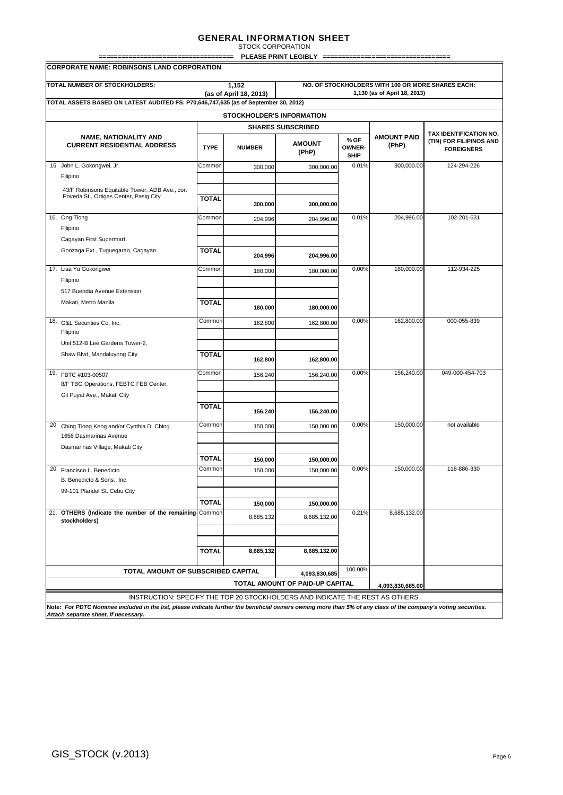| <b>TOTAL NUMBER OF STOCKHOLDERS:</b>                                                     |              | 1,152<br>(as of April 18, 2013) |                                 |                               | NO. OF STOCKHOLDERS WITH 100 OR MORE SHARES EACH:<br>1,130 (as of April 18, 2013) |                                              |  |  |  |  |  |
|------------------------------------------------------------------------------------------|--------------|---------------------------------|---------------------------------|-------------------------------|-----------------------------------------------------------------------------------|----------------------------------------------|--|--|--|--|--|
| TOTAL ASSETS BASED ON LATEST AUDITED FS: P70,646,747,635 (as of September 30, 2012)      |              |                                 |                                 |                               |                                                                                   |                                              |  |  |  |  |  |
| <b>STOCKHOLDER'S INFORMATION</b>                                                         |              |                                 |                                 |                               |                                                                                   |                                              |  |  |  |  |  |
|                                                                                          |              |                                 | <b>SHARES SUBSCRIBED</b>        |                               | <b>AMOUNT PAID</b>                                                                | TAX IDENTIFICATION NO.                       |  |  |  |  |  |
| <b>NAME, NATIONALITY AND</b><br><b>CURRENT RESIDENTIAL ADDRESS</b>                       | <b>TYPE</b>  | <b>NUMBER</b>                   | <b>AMOUNT</b><br>(PhP)          | % OF<br>OWNER-<br><b>SHIP</b> | (PhP)                                                                             | (TIN) FOR FILIPINOS AND<br><b>FOREIGNERS</b> |  |  |  |  |  |
| 15 John L. Gokongwei, Jr.                                                                | Common       | 300.000                         | 300,000.00                      | 0.01%                         | 300,000.00                                                                        | 124-294-226                                  |  |  |  |  |  |
| Filipino                                                                                 |              |                                 |                                 |                               |                                                                                   |                                              |  |  |  |  |  |
| 43/F Robinsons Equitable Tower, ADB Ave., cor.<br>Poveda St., Ortigas Center, Pasig City | <b>TOTAL</b> | 300,000                         | 300,000.00                      |                               |                                                                                   |                                              |  |  |  |  |  |
| 16. Ong Tiong                                                                            | Common       | 204,996                         | 204,996.00                      | 0.01%                         | 204,996.00                                                                        | 102-201-631                                  |  |  |  |  |  |
| Filipino                                                                                 |              |                                 |                                 |                               |                                                                                   |                                              |  |  |  |  |  |
| Cagayan First Supermart                                                                  |              |                                 |                                 |                               |                                                                                   |                                              |  |  |  |  |  |
| Gonzaga Ext., Tuguegarao, Cagayan                                                        | <b>TOTAL</b> | 204,996                         | 204,996.00                      |                               |                                                                                   |                                              |  |  |  |  |  |
| 17. Lisa Yu Gokongwei                                                                    | Common       | 180,000                         | 180,000.00                      | 0.00%                         | 180.000.00                                                                        | 112-934-225                                  |  |  |  |  |  |
| Filipino<br>517 Buendia Avenue Extension                                                 |              |                                 |                                 |                               |                                                                                   |                                              |  |  |  |  |  |
| Makati, Metro Manila                                                                     | <b>TOTAL</b> |                                 |                                 |                               |                                                                                   |                                              |  |  |  |  |  |
|                                                                                          |              | 180,000                         | 180.000.00                      |                               |                                                                                   |                                              |  |  |  |  |  |
| 18.<br>G&L Securities Co. Inc.<br>Filipino                                               | Common       | 162,800                         | 162,800.00                      | 0.00%                         | 162,800.00                                                                        | 000-055-839                                  |  |  |  |  |  |
| Unit 512-B Lee Gardens Tower-2,                                                          |              |                                 |                                 |                               |                                                                                   |                                              |  |  |  |  |  |
| Shaw Blvd, Mandaluyong City                                                              | <b>TOTAL</b> | 162,800                         | 162,800.00                      |                               |                                                                                   |                                              |  |  |  |  |  |
| 19. FBTC #103-00507                                                                      | Common       | 156,240                         | 156,240.00                      | 0.00%                         | 156,240.00                                                                        | 049-000-454-703                              |  |  |  |  |  |
| 8/F TBG Operations, FEBTC FEB Center,                                                    |              |                                 |                                 |                               |                                                                                   |                                              |  |  |  |  |  |
| Gil Puyat Ave., Makati City                                                              |              |                                 |                                 |                               |                                                                                   |                                              |  |  |  |  |  |
|                                                                                          | <b>TOTAL</b> | 156,240                         | 156,240.00                      |                               |                                                                                   |                                              |  |  |  |  |  |
| 20<br>Ching Tiong Keng and/or Cynthia D. Ching<br>1656 Dasmarinas Avenue                 | Common       | 150,000                         | 150.000.00                      | 0.00%                         | 150,000.00                                                                        | not available                                |  |  |  |  |  |
| Dasmarinas Village, Makati City                                                          |              |                                 |                                 |                               |                                                                                   |                                              |  |  |  |  |  |
|                                                                                          | <b>TOTAL</b> | 150,000                         | 150,000.00                      |                               |                                                                                   |                                              |  |  |  |  |  |
| 20 Francisco L. Benedicto<br>B. Benedicto & Sons., Inc.                                  | Common       | 150,000                         | 150,000.00                      | 0.00%                         | 150,000.00                                                                        | 118-886-330                                  |  |  |  |  |  |
| 99-101 Plaridel St. Cebu City                                                            |              |                                 |                                 |                               |                                                                                   |                                              |  |  |  |  |  |
|                                                                                          | <b>TOTAL</b> | 150,000                         | 150,000.00                      |                               |                                                                                   |                                              |  |  |  |  |  |
| 21. OTHERS (Indicate the number of the remaining<br>stockholders)                        | Common       | 8,685,132                       | 8,685,132.00                    | 0.21%                         | 8,685,132.00                                                                      |                                              |  |  |  |  |  |
|                                                                                          |              |                                 |                                 |                               |                                                                                   |                                              |  |  |  |  |  |
|                                                                                          | <b>TOTAL</b> | 8,685,132                       | 8,685,132.00                    |                               |                                                                                   |                                              |  |  |  |  |  |
| TOTAL AMOUNT OF SUBSCRIBED CAPITAL                                                       |              |                                 | 4,093,830,685                   | 100.00%                       |                                                                                   |                                              |  |  |  |  |  |
|                                                                                          |              |                                 | TOTAL AMOUNT OF PAID-UP CAPITAL |                               | 4.093.830.685.00                                                                  |                                              |  |  |  |  |  |
| INSTRUCTION: SPECIFY THE TOP 20 STOCKHOLDERS AND INDICATE THE REST AS OTHERS             |              |                                 |                                 |                               |                                                                                   |                                              |  |  |  |  |  |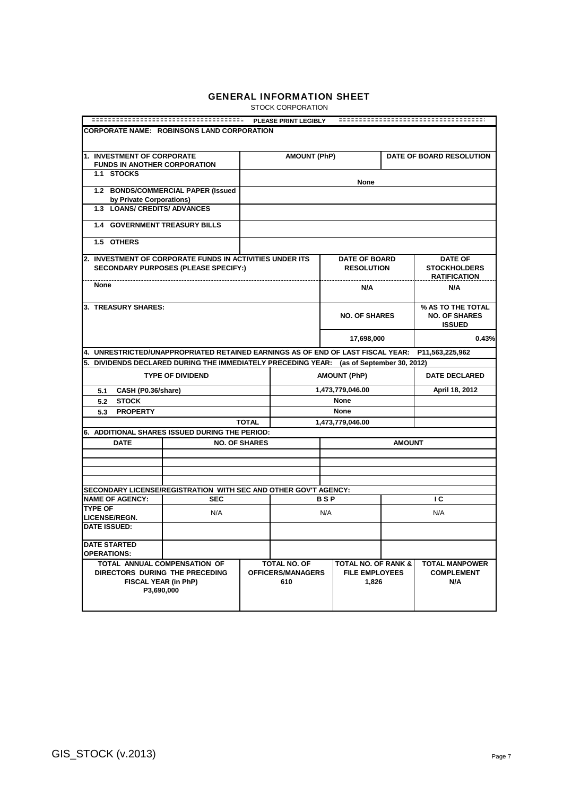STOCK CORPORATION

|                                                                                                      |                                             |                      | PLEASE PRINT LEGIBLY            |                                             |                                |               |                                                            |  |  |  |
|------------------------------------------------------------------------------------------------------|---------------------------------------------|----------------------|---------------------------------|---------------------------------------------|--------------------------------|---------------|------------------------------------------------------------|--|--|--|
| CORPORATE NAME: ROBINSONS LAND CORPORATION                                                           |                                             |                      |                                 |                                             |                                |               |                                                            |  |  |  |
| 1. INVESTMENT OF CORPORATE                                                                           |                                             |                      | <b>AMOUNT (PhP)</b>             |                                             |                                |               | DATE OF BOARD RESOLUTION                                   |  |  |  |
| <b>FUNDS IN ANOTHER CORPORATION</b>                                                                  |                                             |                      |                                 |                                             |                                |               |                                                            |  |  |  |
| 1.1 STOCKS                                                                                           |                                             |                      |                                 |                                             | None                           |               |                                                            |  |  |  |
| by Private Corporations)                                                                             | 1.2 BONDS/COMMERCIAL PAPER (Issued          |                      |                                 |                                             |                                |               |                                                            |  |  |  |
| 1.3 LOANS/ CREDITS/ ADVANCES                                                                         |                                             |                      |                                 |                                             |                                |               |                                                            |  |  |  |
| <b>1.4 GOVERNMENT TREASURY BILLS</b>                                                                 |                                             |                      |                                 |                                             |                                |               |                                                            |  |  |  |
| 1.5 OTHERS                                                                                           |                                             |                      |                                 |                                             |                                |               |                                                            |  |  |  |
| 2. INVESTMENT OF CORPORATE FUNDS IN ACTIVITIES UNDER ITS                                             |                                             |                      |                                 |                                             | <b>DATE OF BOARD</b>           |               | <b>DATE OF</b>                                             |  |  |  |
|                                                                                                      | <b>SECONDARY PURPOSES (PLEASE SPECIFY:)</b> |                      |                                 |                                             | <b>RESOLUTION</b>              |               | <b>STOCKHOLDERS</b><br><b>RATIFICATION</b>                 |  |  |  |
| None                                                                                                 |                                             |                      |                                 |                                             | N/A                            |               | N/A                                                        |  |  |  |
| 3. TREASURY SHARES:                                                                                  |                                             |                      |                                 |                                             | <b>NO. OF SHARES</b>           |               | % AS TO THE TOTAL<br><b>NO. OF SHARES</b><br><b>ISSUED</b> |  |  |  |
|                                                                                                      |                                             |                      |                                 |                                             | 17,698,000                     |               | 0.43%                                                      |  |  |  |
| 4. UNRESTRICTED/UNAPPROPRIATED RETAINED EARNINGS AS OF END OF LAST FISCAL YEAR:                      |                                             |                      |                                 |                                             |                                |               | P11,563,225,962                                            |  |  |  |
| 5. DIVIDENDS DECLARED DURING THE IMMEDIATELY PRECEDING YEAR: (as of September 30, 2012)              |                                             |                      |                                 |                                             |                                |               |                                                            |  |  |  |
|                                                                                                      | <b>TYPE OF DIVIDEND</b>                     |                      |                                 | <b>AMOUNT (PhP)</b><br><b>DATE DECLARED</b> |                                |               |                                                            |  |  |  |
| CASH (P0.36/share)<br>5.1                                                                            |                                             |                      |                                 | 1,473,779,046.00<br>April 18, 2012          |                                |               |                                                            |  |  |  |
| <b>STOCK</b><br>5.2                                                                                  |                                             |                      |                                 | None                                        |                                |               |                                                            |  |  |  |
| <b>PROPERTY</b><br>5.3                                                                               |                                             |                      |                                 | None                                        |                                |               |                                                            |  |  |  |
|                                                                                                      |                                             | <b>TOTAL</b>         |                                 |                                             | 1,473,779,046.00               |               |                                                            |  |  |  |
| 6. ADDITIONAL SHARES ISSUED DURING THE PERIOD:                                                       |                                             |                      |                                 |                                             |                                |               |                                                            |  |  |  |
| <b>DATE</b>                                                                                          |                                             | <b>NO. OF SHARES</b> |                                 |                                             |                                | <b>AMOUNT</b> |                                                            |  |  |  |
|                                                                                                      |                                             |                      |                                 |                                             |                                |               |                                                            |  |  |  |
|                                                                                                      |                                             |                      |                                 |                                             |                                |               |                                                            |  |  |  |
|                                                                                                      |                                             |                      |                                 |                                             |                                |               |                                                            |  |  |  |
|                                                                                                      |                                             |                      |                                 |                                             |                                |               |                                                            |  |  |  |
| SECONDARY LICENSE/REGISTRATION WITH SEC AND OTHER GOV'T AGENCY:                                      |                                             |                      |                                 | <b>BSP</b>                                  |                                |               |                                                            |  |  |  |
| <b>NAME OF AGENCY:</b><br><b>TYPE OF</b>                                                             | <b>SEC</b>                                  |                      |                                 |                                             |                                |               | ТC                                                         |  |  |  |
| <b>LICENSE/REGN.</b>                                                                                 | N/A                                         |                      |                                 | N/A                                         |                                |               | N/A                                                        |  |  |  |
| <b>DATE ISSUED:</b>                                                                                  |                                             |                      |                                 |                                             |                                |               |                                                            |  |  |  |
| <b>DATE STARTED</b><br><b>OPERATIONS:</b>                                                            |                                             |                      |                                 |                                             |                                |               |                                                            |  |  |  |
|                                                                                                      |                                             |                      | TOTAL NO. OF                    |                                             | <b>TOTAL NO. OF RANK &amp;</b> |               | <b>TOTAL MANPOWER</b>                                      |  |  |  |
| TOTAL ANNUAL COMPENSATION OF<br>DIRECTORS DURING THE PRECEDING<br>FISCAL YEAR (in PhP)<br>P3,690,000 |                                             |                      | <b>OFFICERS/MANAGERS</b><br>610 |                                             | <b>FILE EMPLOYEES</b><br>1,826 |               | <b>COMPLEMENT</b><br>N/A                                   |  |  |  |
|                                                                                                      |                                             |                      |                                 |                                             |                                |               |                                                            |  |  |  |